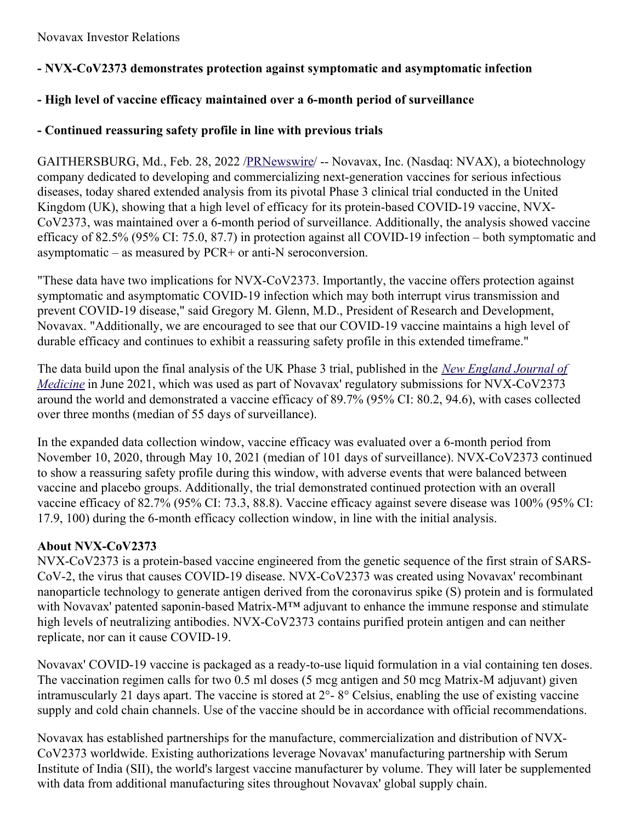# **- NVX-CoV2373 demonstrates protection against symptomatic and asymptomatic infection**

## **- High level of vaccine efficacy maintained over a 6-month period of surveillance**

## **- Continued reassuring safety profile in line with previous trials**

GAITHERSBURG, Md., Feb. 28, 2022 [/PRNewswire](http://www.prnewswire.com/)/ -- Novavax, Inc. (Nasdaq: NVAX), a biotechnology company dedicated to developing and commercializing next-generation vaccines for serious infectious diseases, today shared extended analysis from its pivotal Phase 3 clinical trial conducted in the United Kingdom (UK), showing that a high level of efficacy for its protein-based COVID-19 vaccine, NVX-CoV2373, was maintained over a 6-month period of surveillance. Additionally, the analysis showed vaccine efficacy of 82.5% (95% CI: 75.0, 87.7) in protection against all COVID-19 infection – both symptomatic and asymptomatic – as measured by PCR+ or anti-N seroconversion.

"These data have two implications for NVX-CoV2373. Importantly, the vaccine offers protection against symptomatic and asymptomatic COVID-19 infection which may both interrupt virus transmission and prevent COVID-19 disease," said Gregory M. Glenn, M.D., President of Research and Development, Novavax. "Additionally, we are encouraged to see that our COVID-19 vaccine maintains a high level of durable efficacy and continues to exhibit a reassuring safety profile in this extended timeframe."

The data build upon the final analysis of the UK Phase 3 trial, published in the *New England Journal of Medicine* in June 2021, which was used as part of Novavax' regulatory submissions for [NVX-CoV2373](https://c212.net/c/link/?t=0&l=en&o=3457574-1&h=1168123000&u=https%3A%2F%2Fwww.nejm.org%2Fdoi%2Ffull%2F10.1056%2FNEJMoa2107659&a=New+England+Journal+of+Medicine) around the world and demonstrated a vaccine efficacy of 89.7% (95% CI: 80.2, 94.6), with cases collected over three months (median of 55 days of surveillance).

In the expanded data collection window, vaccine efficacy was evaluated over a 6-month period from November 10, 2020, through May 10, 2021 (median of 101 days of surveillance). NVX-CoV2373 continued to show a reassuring safety profile during this window, with adverse events that were balanced between vaccine and placebo groups. Additionally, the trial demonstrated continued protection with an overall vaccine efficacy of 82.7% (95% CI: 73.3, 88.8). Vaccine efficacy against severe disease was 100% (95% CI: 17.9, 100) during the 6-month efficacy collection window, in line with the initial analysis.

# **About NVX-CoV2373**

NVX-CoV2373 is a protein-based vaccine engineered from the genetic sequence of the first strain of SARS-CoV-2, the virus that causes COVID-19 disease. NVX-CoV2373 was created using Novavax' recombinant nanoparticle technology to generate antigen derived from the coronavirus spike (S) protein and is formulated with Novavax' patented saponin-based Matrix-M™ adjuvant to enhance the immune response and stimulate high levels of neutralizing antibodies. NVX-CoV2373 contains purified protein antigen and can neither replicate, nor can it cause COVID-19.

Novavax' COVID-19 vaccine is packaged as a ready-to-use liquid formulation in a vial containing ten doses. The vaccination regimen calls for two 0.5 ml doses (5 mcg antigen and 50 mcg Matrix-M adjuvant) given intramuscularly 21 days apart. The vaccine is stored at 2°- 8° Celsius, enabling the use of existing vaccine supply and cold chain channels. Use of the vaccine should be in accordance with official recommendations.

Novavax has established partnerships for the manufacture, commercialization and distribution of NVX-CoV2373 worldwide. Existing authorizations leverage Novavax' manufacturing partnership with Serum Institute of India (SII), the world's largest vaccine manufacturer by volume. They will later be supplemented with data from additional manufacturing sites throughout Novavax' global supply chain.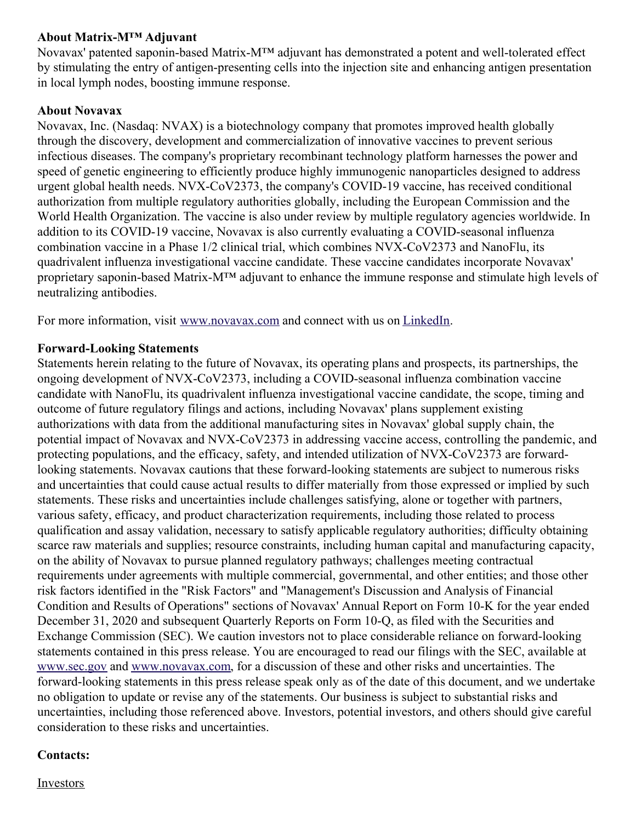### **About Matrix-M™ Adjuvant**

Novavax' patented saponin-based Matrix-M™ adjuvant has demonstrated a potent and well-tolerated effect by stimulating the entry of antigen-presenting cells into the injection site and enhancing antigen presentation in local lymph nodes, boosting immune response.

#### **About Novavax**

Novavax, Inc. (Nasdaq: NVAX) is a biotechnology company that promotes improved health globally through the discovery, development and commercialization of innovative vaccines to prevent serious infectious diseases. The company's proprietary recombinant technology platform harnesses the power and speed of genetic engineering to efficiently produce highly immunogenic nanoparticles designed to address urgent global health needs. NVX-CoV2373, the company's COVID-19 vaccine, has received conditional authorization from multiple regulatory authorities globally, including the European Commission and the World Health Organization. The vaccine is also under review by multiple regulatory agencies worldwide. In addition to its COVID-19 vaccine, Novavax is also currently evaluating a COVID-seasonal influenza combination vaccine in a Phase 1/2 clinical trial, which combines NVX-CoV2373 and NanoFlu, its quadrivalent influenza investigational vaccine candidate. These vaccine candidates incorporate Novavax' proprietary saponin-based Matrix-M™ adjuvant to enhance the immune response and stimulate high levels of neutralizing antibodies.

For more information, visit [www.novavax.com](https://c212.net/c/link/?t=0&l=en&o=3457574-1&h=1407655336&u=https%3A%2F%2Fc212.net%2Fc%2Flink%2F%3Ft%3D0%26l%3Den%26o%3D3395501-1%26h%3D2463599076%26u%3Dhttps%253A%252F%252Fc212.net%252Fc%252Flink%252F%253Ft%253D0%2526l%253Den%2526o%253D3392093-1%2526h%253D203886192%2526u%253Dhttps%25253A%25252F%25252Fc212.net%25252Fc%25252Flink%25252F%25253Ft%25253D0%252526l%25253Den%252526o%25253D3387216-1%252526h%25253D3917401194%252526u%25253Dhttps%2525253A%2525252F%2525252Fc212.net%2525252Fc%2525252Flink%2525252F%2525253Ft%2525253D0%25252526l%2525253Den%25252526o%2525253D3260461-1%25252526h%2525253D2897486098%25252526u%2525253Dhttp%252525253A%252525252F%252525252Fwww.novavax.com%252525252F%25252526a%2525253Dwww.novavax.com%252526a%25253Dwww.novavax.com%2526a%253Dwww.novavax.com%26a%3Dwww.novavax.com&a=www.novavax.com) and connect with us on [LinkedIn](https://c212.net/c/link/?t=0&l=en&o=3457574-1&h=490910999&u=https%3A%2F%2Fc212.net%2Fc%2Flink%2F%3Ft%3D0%26l%3Den%26o%3D3395501-1%26h%3D853375093%26u%3Dhttps%253A%252F%252Fc212.net%252Fc%252Flink%252F%253Ft%253D0%2526l%253Den%2526o%253D3392093-1%2526h%253D1325598136%2526u%253Dhttps%25253A%25252F%25252Fc212.net%25252Fc%25252Flink%25252F%25253Ft%25253D0%252526l%25253Den%252526o%25253D3387216-1%252526h%25253D2935962557%252526u%25253Dhttps%2525253A%2525252F%2525252Fc212.net%2525252Fc%2525252Flink%2525252F%2525253Ft%2525253D0%25252526l%2525253Den%25252526o%2525253D3260461-1%25252526h%2525253D1508558197%25252526u%2525253Dhttps%252525253A%252525252F%252525252Fc212.net%252525252Fc%252525252Flink%252525252F%252525253Ft%252525253D0%2525252526l%252525253Den%2525252526o%252525253D3158017-1%2525252526h%252525253D3702938248%2525252526u%252525253Dhttps%25252525253A%25252525252F%25252525252Fwww.linkedin.com%25252525252Fcompany%25252525252Fnovavax%25252525252F%2525252526a%252525253DLinkedIn%25252526a%2525253DLinkedIn%252526a%25253DLinkedIn%2526a%253DLinkedIn%26a%3DLinkedIn&a=LinkedIn).

### **Forward-Looking Statements**

Statements herein relating to the future of Novavax, its operating plans and prospects, its partnerships, the ongoing development of NVX-CoV2373, including a COVID-seasonal influenza combination vaccine candidate with NanoFlu, its quadrivalent influenza investigational vaccine candidate, the scope, timing and outcome of future regulatory filings and actions, including Novavax' plans supplement existing authorizations with data from the additional manufacturing sites in Novavax' global supply chain, the potential impact of Novavax and NVX-CoV2373 in addressing vaccine access, controlling the pandemic, and protecting populations, and the efficacy, safety, and intended utilization of NVX-CoV2373 are forwardlooking statements. Novavax cautions that these forward-looking statements are subject to numerous risks and uncertainties that could cause actual results to differ materially from those expressed or implied by such statements. These risks and uncertainties include challenges satisfying, alone or together with partners, various safety, efficacy, and product characterization requirements, including those related to process qualification and assay validation, necessary to satisfy applicable regulatory authorities; difficulty obtaining scarce raw materials and supplies; resource constraints, including human capital and manufacturing capacity, on the ability of Novavax to pursue planned regulatory pathways; challenges meeting contractual requirements under agreements with multiple commercial, governmental, and other entities; and those other risk factors identified in the "Risk Factors" and "Management's Discussion and Analysis of Financial Condition and Results of Operations" sections of Novavax' Annual Report on Form 10-K for the year ended December 31, 2020 and subsequent Quarterly Reports on Form 10-Q, as filed with the Securities and Exchange Commission (SEC). We caution investors not to place considerable reliance on forward-looking statements contained in this press release. You are encouraged to read our filings with the SEC, available at [www.sec.gov](https://c212.net/c/link/?t=0&l=en&o=3457574-1&h=3117149559&u=http%3A%2F%2Fwww.sec.gov%2F&a=www.sec.gov) and [www.novavax.com](https://c212.net/c/link/?t=0&l=en&o=3457574-1&h=3169956327&u=http%3A%2F%2Fwww.novavax.com%2F&a=www.novavax.com), for a discussion of these and other risks and uncertainties. The forward-looking statements in this press release speak only as of the date of this document, and we undertake no obligation to update or revise any of the statements. Our business is subject to substantial risks and uncertainties, including those referenced above. Investors, potential investors, and others should give careful consideration to these risks and uncertainties.

#### **Contacts:**

Investors